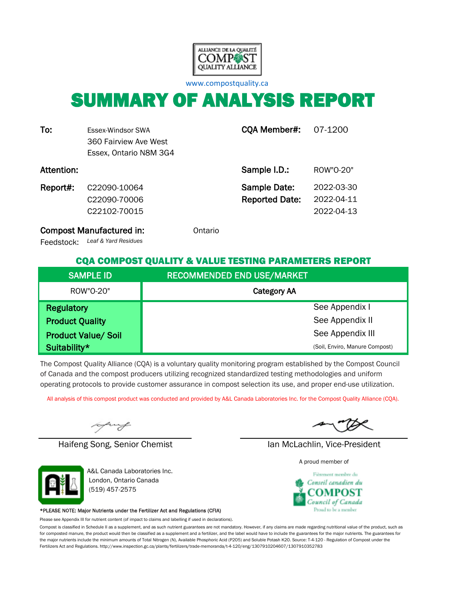

[w](http://www.compostquality.ca/)ww.compostquality.ca

# SUMMARY OF ANALYSIS REPORT

| To:        | Essex-Windsor SWA<br>360 Fairview Ave West<br>Essex, Ontario N8M 3G4 | CQA Member#:          | 07-1200    |
|------------|----------------------------------------------------------------------|-----------------------|------------|
| Attention: |                                                                      | Sample I.D.:          | ROW"O-20"  |
| Report#:   | C22090-10064                                                         | Sample Date:          | 2022-03-30 |
|            | C22090-70006                                                         | <b>Reported Date:</b> | 2022-04-11 |
|            | C <sub>22102</sub> -70015                                            |                       | 2022-04-13 |

#### *Leaf & Yard Residues* Feedstock:

Compost Manufactured in: **Compost Manufactured in:** Ontario

#### CQA COMPOST QUALITY & VALUE TESTING PARAMETERS REPORT

| <b>SAMPLE ID</b>           | <b>RECOMMENDED END USE/MARKET</b> |
|----------------------------|-----------------------------------|
| ROW"O-20"                  | <b>Category AA</b>                |
| <b>Regulatory</b>          | See Appendix I                    |
| <b>Product Quality</b>     | See Appendix II                   |
| <b>Product Value/ Soil</b> | See Appendix III                  |
| Suitability*               | (Soil, Enviro, Manure Compost)    |

The Compost Quality Alliance (CQA) is a voluntary quality monitoring program established by the Compost Council of Canada and the compost producers utilizing recognized standardized testing methodologies and uniform operating protocols to provide customer assurance in compost selection its use, and proper end-use utilization.

All analysis of this compost product was conducted and provided by A&L Canada Laboratories Inc. for the Compost Quality Alliance (CQA).

uy

Haifeng Song, Senior Chemist Ian McLachlin, Vice-President



A&L Canada Laboratories Inc. London, Ontario Canada (519) 457-2575

#### \*PLEASE NOTE: Major Nutrients under the Fertilizer Act and Regulations (CFIA)

Please see Appendix III for nutrient content (of impact to claims and labelling if used in declarations).

Compost is classified in Schedule II as a supplement, and as such nutrient guarantees are not mandatory. However, if any claims are made regarding nutritional value of the product, such as for composted manure, the product would then be classified as a supplement and a fertilizer, and the label would have to include the guarantees for the major nutrients. The guarantees for the major nutrients include the minimum amounts of Total Nitrogen (N), Available Phosphoric Acid (P2O5) and Soluble Potash K2O. Source: T-4-120 - Regulation of Compost under the Fertilizers Act and Regulations. http://www.inspection.gc.ca/plants/fertilizers/trade-memoranda/t-4-120/eng/1307910204607/1307910352783

A proud member of

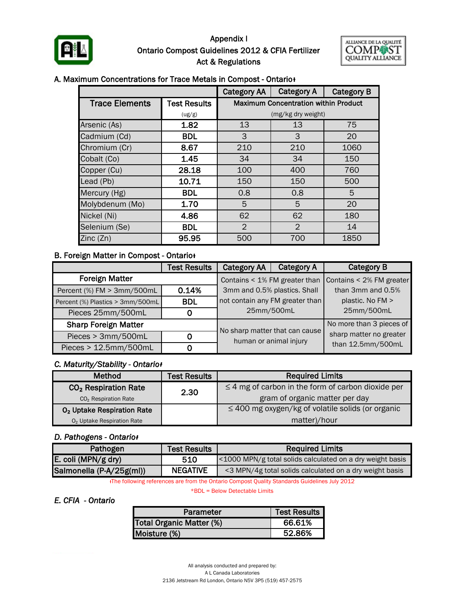

## Appendix I Ontario Compost Guidelines 2012 & CFIA Fertilizer Act & Regulations



#### A. Maximum Concentrations for Trace Metals in Compost - Ontario<sup>+</sup>

|                       |                     | <b>Category AA</b>                          | <b>Category A</b>  | <b>Category B</b> |  |  |  |
|-----------------------|---------------------|---------------------------------------------|--------------------|-------------------|--|--|--|
| <b>Trace Elements</b> | <b>Test Results</b> | <b>Maximum Concentration within Product</b> |                    |                   |  |  |  |
|                       | (ug/g)              |                                             | (mg/kg dry weight) |                   |  |  |  |
| Arsenic (As)          | 1.82                | 13<br>13<br>75                              |                    |                   |  |  |  |
| Cadmium (Cd)          | <b>BDL</b>          | 3                                           | 3                  | 20                |  |  |  |
| Chromium (Cr)         | 8.67                | 210                                         | 210                | 1060              |  |  |  |
| Cobalt (Co)           | 1.45                | 34                                          | 34                 | 150               |  |  |  |
| Copper (Cu)           | 28.18               | 100                                         | 400                | 760               |  |  |  |
| Lead (Pb)             | 10.71               | 150                                         | 150                | 500               |  |  |  |
| Mercury (Hg)          | <b>BDL</b>          | 0.8                                         | 0.8                | 5                 |  |  |  |
| Molybdenum (Mo)       | 1.70                | 5                                           | 5                  | 20                |  |  |  |
| Nickel (Ni)           | 4.86                | 62                                          | 62                 | 180               |  |  |  |
| Selenium (Se)         | <b>BDL</b>          | $\overline{2}$                              | $\overline{2}$     | 14                |  |  |  |
| Zinc(Zn)              | 95.95               | 500                                         | 700                | 1850              |  |  |  |

#### **B. Foreign Matter in Compost - Ontario**

|                                  | <b>Test Results</b> | <b>Category AA</b>                                       | <b>Category A</b> | <b>Category B</b>        |  |  |
|----------------------------------|---------------------|----------------------------------------------------------|-------------------|--------------------------|--|--|
| <b>Foreign Matter</b>            |                     | Contains < 1% FM greater than                            |                   | Contains < 2% FM greater |  |  |
| Percent (%) FM > 3mm/500mL       | 0.14%               | 3mm and 0.5% plastics. Shall                             |                   | than 3mm and 0.5%        |  |  |
| Percent (%) Plastics > 3mm/500mL | <b>BDL</b>          | not contain any FM greater than                          |                   | plastic. No FM >         |  |  |
| Pieces 25mm/500mL                | 0                   | 25mm/500mL                                               |                   | 25mm/500mL               |  |  |
| <b>Sharp Foreign Matter</b>      |                     |                                                          |                   | No more than 3 pieces of |  |  |
| Pieces > 3mm/500mL               | 0                   | No sharp matter that can cause<br>human or animal injury |                   | sharp matter no greater  |  |  |
| Pieces > 12.5mm/500mL            | 0                   |                                                          |                   | than 12.5mm/500mL        |  |  |

#### *C. Maturity/Stability - Ontario<sub>†</sub>*

| <b>Method</b>                          | <b>Test Results</b> | <b>Required Limits</b>                                  |  |  |
|----------------------------------------|---------------------|---------------------------------------------------------|--|--|
| CO <sub>2</sub> Respiration Rate       | 2.30                | $\leq$ 4 mg of carbon in the form of carbon dioxide per |  |  |
| CO <sub>2</sub> Respiration Rate       |                     | gram of organic matter per day                          |  |  |
| O <sub>2</sub> Uptake Respiration Rate |                     | $\leq$ 400 mg oxygen/kg of volatile solids (or organic  |  |  |
| O <sub>2</sub> Uptake Respiration Rate |                     | matter)/hour                                            |  |  |

#### *D. Pathogens - Ontarioᵻ*

| Pathogen                 | <b>Test Results</b> | <b>Required Limits</b>                                    |
|--------------------------|---------------------|-----------------------------------------------------------|
| E. coli (MPN/g dry)      | 510                 | <1000 MPN/g total solids calculated on a dry weight basis |
| Salmonella (P-A/25g(ml)) | <b>NEGATIVE</b>     | <3 MPN/4g total solids calculated on a dry weight basis   |

ᵻThe following references are from the Ontario Compost Quality Standards Guidelines July 2012

\*BDL = Below Detectable Limits

### *E. CFIA - Ontario*

| Parameter                | <b>Test Results</b> |
|--------------------------|---------------------|
| Total Organic Matter (%) | 66.61%              |
| Moisture (%)             | 52.86%              |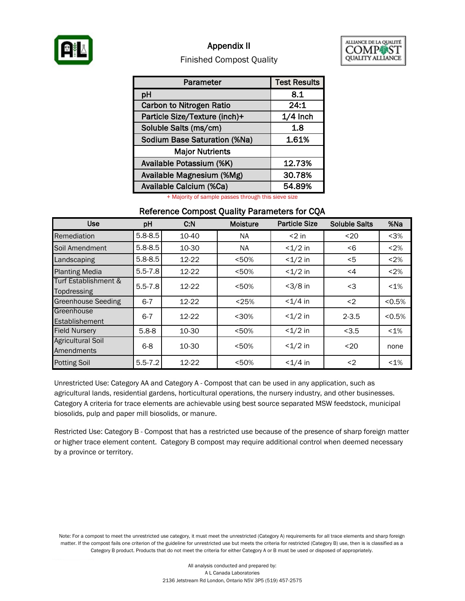

## Appendix II



### Finished Compost Quality

| Parameter                           | <b>Test Results</b> |
|-------------------------------------|---------------------|
| pH                                  | 8.1                 |
| <b>Carbon to Nitrogen Ratio</b>     | 24:1                |
| Particle Size/Texture (inch)+       | $1/4$ Inch          |
| Soluble Salts (ms/cm)               | 1.8                 |
| <b>Sodium Base Saturation (%Na)</b> | 1.61%               |
| <b>Major Nutrients</b>              |                     |
| Available Potassium (%K)            | 12.73%              |
| Available Magnesium (%Mg)           | 30.78%              |
| Available Calcium (%Ca)             | 54.89%              |

+ Majority of sample passes through this sieve size

#### Reference Compost Quality Parameters for CQA

| <b>Use</b>                             | pH          | C.N   | <b>Moisture</b> | <b>Particle Size</b> | <b>Soluble Salts</b> | %Na     |
|----------------------------------------|-------------|-------|-----------------|----------------------|----------------------|---------|
| Remediation                            | $5.8 - 8.5$ | 10-40 | NA.             | $<$ 2 in             | $20$                 | < 3%    |
| Soil Amendment                         | $5.8 - 8.5$ | 10-30 | NA.             | $<1/2$ in            | -6                   | < 2%    |
| Landscaping                            | $5.8 - 8.5$ | 12-22 | < 50%           | $<1/2$ in            | $<$ 5                | < 2%    |
| <b>Planting Media</b>                  | $5.5 - 7.8$ | 12-22 | < 50%           | $<1/2$ in            | $\leq$ 4             | $<$ 2%  |
| Turf Establishment &<br>Topdressing    | $5.5 - 7.8$ | 12-22 | < 50%           | $<$ 3/8 in           | $3$                  | $< 1\%$ |
| <b>Greenhouse Seeding</b>              | $6 - 7$     | 12-22 | < 25%           | $< 1/4$ in           | $2$                  | < 0.5%  |
| Greenhouse<br>Establishement           | $6 - 7$     | 12-22 | $30%$           | $<1/2$ in            | $2 - 3.5$            | < 0.5%  |
| <b>Field Nursery</b>                   | $5.8 - 8$   | 10-30 | < 50%           | $<1/2$ in            | < 3.5                | $< 1\%$ |
| <b>Agricultural Soil</b><br>Amendments | $6 - 8$     | 10-30 | < 50%           | $<1/2$ in            | $20$                 | none    |
| <b>Potting Soil</b>                    | $5.5 - 7.2$ | 12-22 | < 50%           | $< 1/4$ in           | $2$                  | $< 1\%$ |

Unrestricted Use: Category AA and Category A - Compost that can be used in any application, such as agricultural lands, residential gardens, horticultural operations, the nursery industry, and other businesses. Category A criteria for trace elements are achievable using best source separated MSW feedstock, municipal biosolids, pulp and paper mill biosolids, or manure.

Restricted Use: Category B - Compost that has a restricted use because of the presence of sharp foreign matter or higher trace element content. Category B compost may require additional control when deemed necessary by a province or territory.

Note: For a compost to meet the unrestricted use category, it must meet the unrestricted (Category A) requirements for all trace elements and sharp foreign matter. If the compost fails one criterion of the guideline for unrestricted use but meets the criteria for restricted (Category B) use, then is is classified as a Category B product. Products that do not meet the criteria for either Category A or B must be used or disposed of appropriately.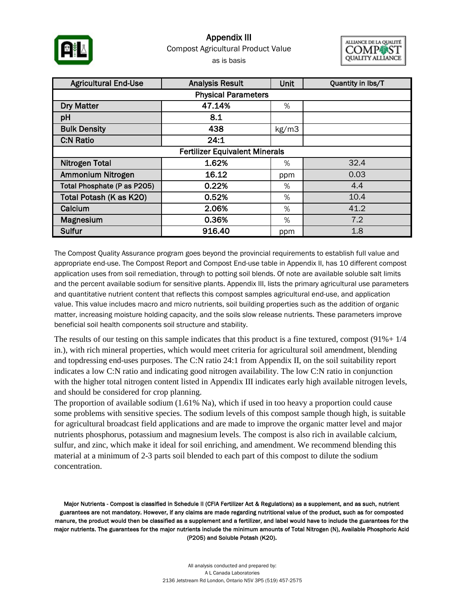

## Appendix III as is basis Compost Agricultural Product Value



| <b>Agricultural End-Use</b>           | <b>Analysis Result</b> | Unit  | Quantity in lbs/T |  |  |  |  |  |  |  |
|---------------------------------------|------------------------|-------|-------------------|--|--|--|--|--|--|--|
| <b>Physical Parameters</b>            |                        |       |                   |  |  |  |  |  |  |  |
| <b>Dry Matter</b>                     | 47.14%                 | %     |                   |  |  |  |  |  |  |  |
| pH                                    | 8.1                    |       |                   |  |  |  |  |  |  |  |
| <b>Bulk Density</b>                   | 438                    | kg/m3 |                   |  |  |  |  |  |  |  |
| <b>C:N Ratio</b>                      | 24:1                   |       |                   |  |  |  |  |  |  |  |
| <b>Fertilizer Equivalent Minerals</b> |                        |       |                   |  |  |  |  |  |  |  |
| <b>Nitrogen Total</b>                 | 1.62%                  | %     | 32.4              |  |  |  |  |  |  |  |
| Ammonium Nitrogen                     | 16.12                  | ppm   | 0.03              |  |  |  |  |  |  |  |
| Total Phosphate (P as P205)           | 0.22%                  | %     | 4.4               |  |  |  |  |  |  |  |
| Total Potash (K as K20)               | 0.52%                  | %     | 10.4              |  |  |  |  |  |  |  |
| Calcium                               | 2.06%                  | %     | 41.2              |  |  |  |  |  |  |  |
| Magnesium                             | 0.36%                  | %     | 7.2               |  |  |  |  |  |  |  |
| Sulfur                                | 916.40                 | ppm   | 1.8               |  |  |  |  |  |  |  |

The Compost Quality Assurance program goes beyond the provincial requirements to establish full value and appropriate end-use. The Compost Report and Compost End-use table in Appendix II, has 10 different compost application uses from soil remediation, through to potting soil blends. Of note are available soluble salt limits and the percent available sodium for sensitive plants. Appendix III, lists the primary agricultural use parameters and quantitative nutrient content that reflects this compost samples agricultural end-use, and application value. This value includes macro and micro nutrients, soil building properties such as the addition of organic matter, increasing moisture holding capacity, and the soils slow release nutrients. These parameters improve beneficial soil health components soil structure and stability.

The results of our testing on this sample indicates that this product is a fine textured, compost  $(91\% + 1/4)$ in.), with rich mineral properties, which would meet criteria for agricultural soil amendment, blending and topdressing end-uses purposes. The C:N ratio 24:1 from Appendix II, on the soil suitability report indicates a low C:N ratio and indicating good nitrogen availability. The low C:N ratio in conjunction with the higher total nitrogen content listed in Appendix III indicates early high available nitrogen levels, and should be considered for crop planning.

The proportion of available sodium (1.61% Na), which if used in too heavy a proportion could cause some problems with sensitive species. The sodium levels of this compost sample though high, is suitable for agricultural broadcast field applications and are made to improve the organic matter level and major nutrients phosphorus, potassium and magnesium levels. The compost is also rich in available calcium, sulfur, and zinc, which make it ideal for soil enriching, and amendment. We recommend blending this material at a minimum of 2-3 parts soil blended to each part of this compost to dilute the sodium concentration.

Major Nutrients - Compost is classified in Schedule II (CFIA Fertilizer Act & Regulations) as a supplement, and as such, nutrient guarantees are not mandatory. However, if any claims are made regarding nutritional value of the product, such as for composted manure, the product would then be classified as a supplement and a fertilizer, and label would have to include the guarantees for the major nutrients. The guarantees for the major nutrients include the minimum amounts of Total Nitrogen (N), Available Phosphoric Acid (P2O5) and Soluble Potash (K2O).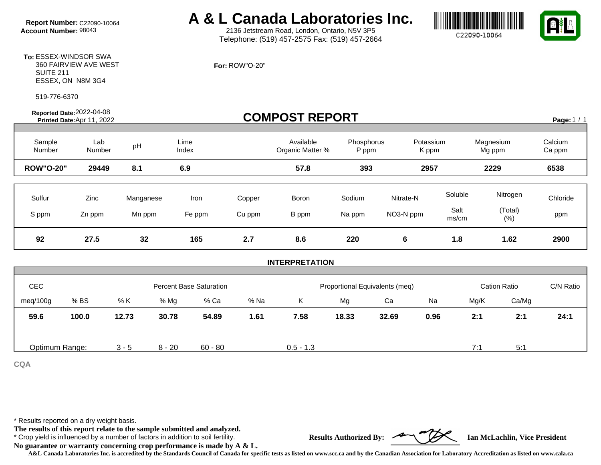# **Report Number:** C22090-10064 **A & L Canada Laboratories Inc.**<br>Account Number: 98043 **A & L** 2136 Jetstream Road, London, Ontario, N5V 3P5

2136 Jetstream Road, London, Ontario, N5V 3P5 Telephone: (519) 457-2575 Fax: (519) 457-2664





**To:** ESSEX-WINDSOR SWA 360 FAIRVIEW AVE WEST SUITE 211 ESSEX, ON N8M 3G4

519-776-6370

**Reported Date:**  2022-04-08 **Printed Date:** 

#### **For:** ROW"O-20"

|                  | Reported Date: 2022-04-06<br>Printed Date: Apr 11, 2022 |             |                                |        | <b>COMPOST REPORT</b>         |                                |                    |               |                     | Page: 1 / 1       |  |
|------------------|---------------------------------------------------------|-------------|--------------------------------|--------|-------------------------------|--------------------------------|--------------------|---------------|---------------------|-------------------|--|
| Sample<br>Number | Lab<br>Number                                           | pH          | Lime<br>Index                  |        | Available<br>Organic Matter % | Phosphorus<br>P ppm            | Potassium<br>K ppm |               | Magnesium<br>Mg ppm | Calcium<br>Ca ppm |  |
| <b>ROW"O-20"</b> | 29449                                                   | 8.1         | 6.9                            |        | 57.8                          | 393                            | 2957               |               | 2229                | 6538              |  |
| Sulfur           | Zinc                                                    | Manganese   | Iron                           | Copper | Boron                         | Sodium                         | Nitrate-N          | Soluble       | Nitrogen            | Chloride          |  |
| S ppm            | Zn ppm                                                  | Mn ppm      | Fe ppm                         | Cu ppm | B ppm                         | Na ppm                         | NO3-N ppm          | Salt<br>ms/cm | (Total)<br>(% )     | ppm               |  |
| 92               | 27.5                                                    | 32          | 165                            | 2.7    | 8.6                           | 220                            | 6                  | 1.8           | 1.62                | 2900              |  |
|                  |                                                         |             |                                |        | <b>INTERPRETATION</b>         |                                |                    |               |                     |                   |  |
|                  |                                                         |             |                                |        |                               |                                |                    |               |                     |                   |  |
| <b>CEC</b>       |                                                         |             | <b>Percent Base Saturation</b> |        |                               | Proportional Equivalents (meq) |                    |               | <b>Cation Ratio</b> | C/N Ratio         |  |
| meg/100g         | % BS                                                    | % K<br>% Mg | % Ca                           | % Na   | K                             | Mg                             | Ca<br>Na           |               | Ca/Mg<br>Mg/K       |                   |  |
|                  |                                                         |             |                                |        |                               |                                |                    |               |                     |                   |  |

| <b>CEC</b>     |       | <b>Percent Base Saturation</b> |          |         |      | Proportional Equivalents (meq) |       |       |      | <b>Cation Ratio</b> |       |      |
|----------------|-------|--------------------------------|----------|---------|------|--------------------------------|-------|-------|------|---------------------|-------|------|
| meq/100g       | % BS  | % K                            | % Mg     | % Ca    | % Na | K                              | Mg    | Ca    | Na   | Mg/K                | Ca/Mg |      |
| 59.6           | 100.0 | 12.73                          | 30.78    | 54.89   | 1.61 | 7.58                           | 18.33 | 32.69 | 0.96 | 2:1                 | 2:1   | 24:1 |
|                |       |                                |          |         |      |                                |       |       |      |                     |       |      |
| Optimum Range: |       | $3 - 5$                        | $8 - 20$ | 60 - 80 |      | $0.5 - 1.3$                    |       |       |      | 7:1                 | 5:1   |      |

**CQA**

\* Results reported on a dry weight basis.

**The results of this report relate to the sample submitted and analyzed.** 

\* Crop yield is influenced by a number of factors in addition to soil fertility. **Results Authorized By: Ian McLachlin, Vice President**

**No guarantee or warranty concerning crop performance is made by A & L.**

**A&L Canada Laboratories Inc. is accredited by the Standards Council of Canada for specific tests as listed on www.scc.ca and by the Canadian Association for Laboratory Accreditation as listed on www.cala.ca**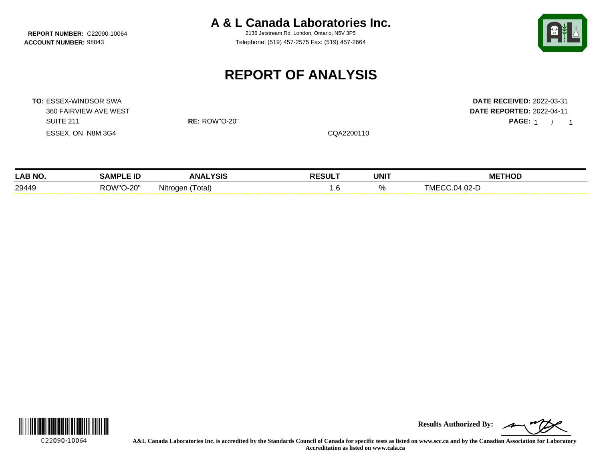**REPORT NUMBER: C22090-10064** 

**A & L Canada Laboratories Inc.**<br>2136 Jetstream Rd. London, Ontario, N5V 3P5

**ACCOUNT NUMBER:** 98043 Telephone: (519) 457-2575 Fax: (519) 457-2664



PAGE: 1 / 1

# **REPORT OF ANALYSIS**

**TO:** ESSEX-WINDSOR SWA **DATE RECEIVED:** 2022-03-31 360 FAIRVIEW AVE WEST **DATE REPORTED:** 2022-04-11 SUITE 211 **RE:** ROW"O-20" **PAGE:** 1 / ESSEX, ON N8M 3G4 COA2200110

| <b>LAB NO.</b> | ' ID                          | .YSIS<br><b>ANA</b>     | <b>DECIII T</b><br>sur | <b>UNIT</b> | <b>HOD</b><br>.<br>ME |
|----------------|-------------------------------|-------------------------|------------------------|-------------|-----------------------|
| 29449          | 20′-י<br>. )\\/" <sup>~</sup> | .<br>⊺otal)<br>Nitroaen | ن. ا                   | 7υ          | $\sim$<br>uz-         |



**Results Authorized By:**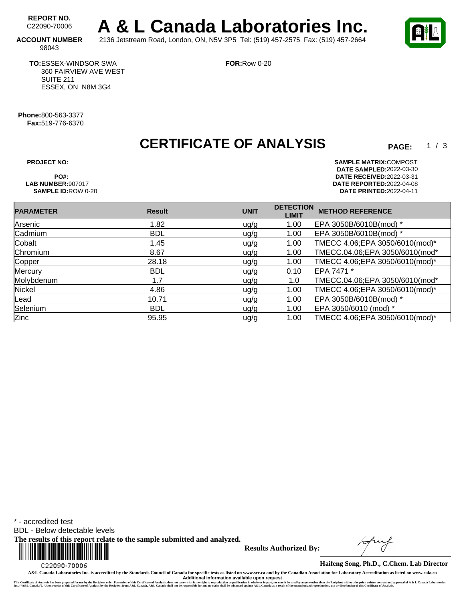REPORT NO.<br>C22090-70006 A & L Canada Laboratories Inc. **ACCOUNT NUMBER** 2136 Jetstream Road, London, ON, N5V 3P5 Tel: (519) 457-2575 Fax: (519) 457-2664

**FOR:**Row 0-20

98043

**TO:**ESSEX-WINDSOR SWA 360 FAIRVIEW AVE WEST SUITE 211 ESSEX, ON N8M 3G4

**Phone:**800-563-3377 **Fax:**519-776-6370

# **CERTIFICATE OF ANALYSIS**

 $1/3$ 

**PROJECT NO: SAMPLE MATRIX:** COMPOST **DATE SAMPLED:** 2022-03-30 **PO#: DATE RECEIVED:**2022-03-31 **LAB NUMBER:**907017 **DATE REPORTED:**2022-04-08 **SAMPLE ID:**ROW 0-20 **DATE PRINTED:**2022-04-11

| <b>PARAMETER</b> | <b>Result</b> | <b>UNIT</b> | <b>DETECTION</b><br><b>LIMIT</b> | <b>METHOD REFERENCE</b>        |
|------------------|---------------|-------------|----------------------------------|--------------------------------|
| Arsenic          | 1.82          | ug/g        | 1.00                             | EPA 3050B/6010B(mod) *         |
| Cadmium          | <b>BDL</b>    | ug/g        | 1.00                             | EPA 3050B/6010B(mod) *         |
| Cobalt           | 1.45          | uq/q        | 1.00                             | TMECC 4.06;EPA 3050/6010(mod)* |
| Chromium         | 8.67          | ug/g        | 1.00                             | TMECC.04.06;EPA 3050/6010(mod* |
| Copper           | 28.18         | u g/g       | 1.00                             | TMECC 4.06;EPA 3050/6010(mod)* |
| Mercury          | <b>BDL</b>    | ug/g        | 0.10                             | EPA 7471 *                     |
| Molybdenum       | 1.7           | ug/g        | 1.0                              | TMECC.04.06;EPA 3050/6010(mod* |
| Nickel           | 4.86          | ug/g        | 1.00                             | TMECC 4.06;EPA 3050/6010(mod)* |
| Lead             | 10.71         | uq/q        | 1.00                             | EPA 3050B/6010B(mod) *         |
| Selenium         | <b>BDL</b>    | u g/g       | 1.00                             | EPA 3050/6010 (mod) *          |
| Zinc             | 95.95         | u g/g       | 1.00                             | TMECC 4.06;EPA 3050/6010(mod)* |

\* - accredited test

BDL - Below detectable levels

**The results of this report relate to the sample submitted and analyzed.** 



**Results Authorized By:**

**Haifeng Song, Ph.D., C.Chem. Lab Director**

**A&L Canada Laboratories Inc. is accredited by the Standards Council of Canada for specific tests as listed on www.scc.ca and by the Canadian Association for Laboratory Accreditation as listed on www.cala.ca** Additional information available upon request<br>This Certificate of Analysis has been prepared for use by the Recipient only. Possession of this Certificate of Analysis, does not carry with the right to reproduction or publi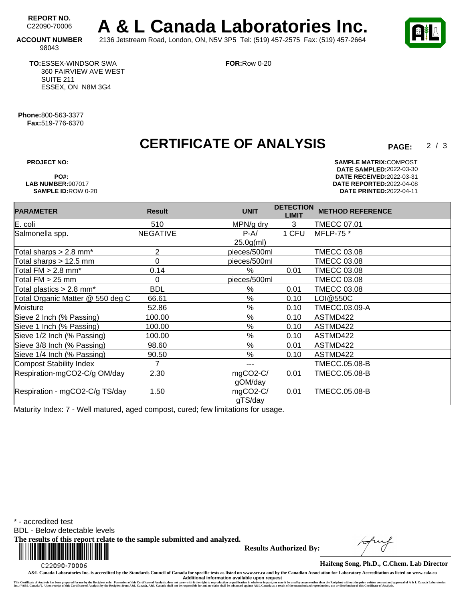REPORT NO.<br>C22090-70006 A & L Canada Laboratories Inc. **ACCOUNT NUMBER** 2136 Jetstream Road, London, ON, N5V 3P5 Tel: (519) 457-2575 Fax: (519) 457-2664

 $2/3$ 

98043

**TO:**ESSEX-WINDSOR SWA 360 FAIRVIEW AVE WEST SUITE 211 ESSEX, ON N8M 3G4

**FOR:**Row 0-20

**Phone:**800-563-3377 **Fax:**519-776-6370

# **CERTIFICATE OF ANALYSIS**

**PROJECT NO: SAMPLE MATRIX:** COMPOST **DATE SAMPLED:** 2022-03-30 **PO#: DATE RECEIVED:**2022-03-31 **LAB NUMBER:**907017 **DATE REPORTED:**2022-04-08 **SAMPLE ID:**ROW 0-20 **DATE PRINTED:**2022-04-11

| <b>PARAMETER</b>                     | <b>Result</b>   | <b>UNIT</b>  | <b>DETECTION</b><br><b>LIMIT</b> | <b>METHOD REFERENCE</b> |
|--------------------------------------|-----------------|--------------|----------------------------------|-------------------------|
| E. coli                              | 510             | MPN/g dry    | 3                                | <b>TMECC 07.01</b>      |
| Salmonella spp.                      | <b>NEGATIVE</b> | $P-A/$       | 1 CFU                            | MFLP-75 *               |
|                                      |                 | $25.0g$ (ml) |                                  |                         |
| Total sharps $> 2.8$ mm <sup>*</sup> | $\overline{c}$  | pieces/500ml |                                  | <b>TMECC 03.08</b>      |
| Total sharps > 12.5 mm               | 0               | pieces/500ml |                                  | <b>TMECC 03.08</b>      |
| Total $FM > 2.8$ mm <sup>*</sup>     | 0.14            | $\%$         | 0.01                             | <b>TMECC 03.08</b>      |
| Total FM > 25 mm                     | 0               | pieces/500ml |                                  | <b>TMECC 03.08</b>      |
| Total plastics > 2.8 mm <sup>*</sup> | <b>BDL</b>      | $\%$         | 0.01                             | <b>TMECC 03.08</b>      |
| Total Organic Matter @ 550 deg C     | 66.61           | $\%$         | 0.10                             | LOI@550C                |
| Moisture                             | 52.86           | %            | 0.10                             | TMECC.03.09-A           |
| Sieve 2 Inch (% Passing)             | 100.00          | $\%$         | 0.10                             | ASTMD422                |
| Sieve 1 Inch (% Passing)             | 100.00          | %            | 0.10                             | ASTMD422                |
| Sieve 1/2 Inch (% Passing)           | 100.00          | $\%$         | 0.10                             | ASTMD422                |
| Sieve 3/8 Inch (% Passing)           | 98.60           | %            | 0.01                             | ASTMD422                |
| Sieve 1/4 Inch (% Passing)           | 90.50           | $\%$         | 0.10                             | ASTMD422                |
| Compost Stability Index              | 7               | ---          |                                  | <b>TMECC.05.08-B</b>    |
| Respiration-mgCO2-C/g OM/day         | 2.30            | mgCO2-C/     | 0.01                             | <b>TMECC.05.08-B</b>    |
|                                      |                 | gOM/day      |                                  |                         |
| Respiration - mgCO2-C/g TS/day       | 1.50            | mgCO2-C/     | 0.01                             | TMECC.05.08-B           |
|                                      |                 | gTS/day      |                                  |                         |

Maturity Index: 7 - Well matured, aged compost, cured; few limitations for usage.

\* - accredited test

BDL - Below detectable levels

**The results of this report relate to the sample submitted and analyzed.** 



**Results Authorized By:**

**Haifeng Song, Ph.D., C.Chem. Lab Director**

**A&L Canada Laboratories Inc. is accredited by the Standards Council of Canada for specific tests as listed on www.scc.ca and by the Canadian Association for Laboratory Accreditation as listed on www.cala.ca** Additional information available upon request<br>This Certificate of Analysis has been prepared for use by the Recipient only. Possession of this Certificate of Analysis, does not carry with the right to reproduction or publi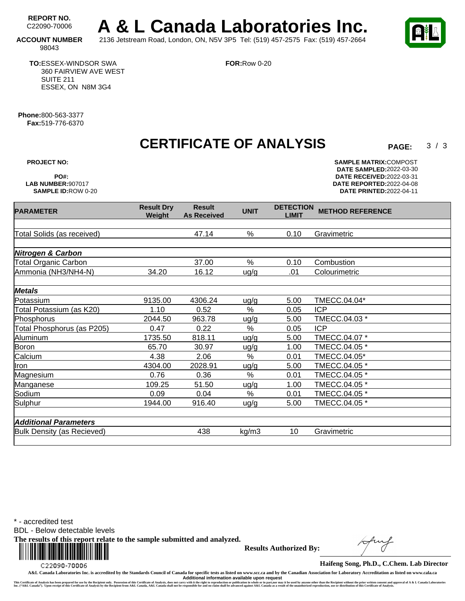REPORT NO.<br>C22090-70006 A & L Canada Laboratories Inc. **ACCOUNT NUMBER** 2136 Jetstream Road, London, ON, N5V 3P5 Tel: (519) 457-2575 Fax: (519) 457-2664

 $3/3$ 

98043

**TO:**ESSEX-WINDSOR SWA 360 FAIRVIEW AVE WEST SUITE 211 ESSEX, ON N8M 3G4

**FOR:**Row 0-20

**Phone:**800-563-3377 **Fax:**519-776-6370

**CERTIFICATE OF ANALYSIS** 

**PROJECT NO: SAMPLE MATRIX:** COMPOST **DATE SAMPLED:** 2022-03-30 **PO#: DATE RECEIVED:**2022-03-31 **LAB NUMBER:**907017 **DATE REPORTED:**2022-04-08 **SAMPLE ID:**ROW 0-20 **DATE PRINTED:**2022-04-11

| <b>PARAMETER</b>                  | <b>Result Dry</b><br>Weight | <b>Result</b><br><b>As Received</b> | <b>UNIT</b> | <b>DETECTION</b><br><b>LIMIT</b> | <b>METHOD REFERENCE</b> |
|-----------------------------------|-----------------------------|-------------------------------------|-------------|----------------------------------|-------------------------|
|                                   |                             |                                     |             |                                  |                         |
| Total Solids (as received)        |                             | 47.14                               | %           | 0.10                             | Gravimetric             |
|                                   |                             |                                     |             |                                  |                         |
| <b>Nitrogen &amp; Carbon</b>      |                             |                                     |             |                                  |                         |
| <b>Total Organic Carbon</b>       |                             | 37.00                               | %           | 0.10                             | Combustion              |
| Ammonia (NH3/NH4-N)               | 34.20                       | 16.12                               | uq/q        | .01                              | Colourimetric           |
|                                   |                             |                                     |             |                                  |                         |
| <b>Metals</b>                     |                             |                                     |             |                                  |                         |
| Potassium                         | 9135.00                     | 4306.24                             | ug/g        | 5.00                             | TMECC.04.04*            |
| Total Potassium (as K20)          | 1.10                        | 0.52                                | $\%$        | 0.05                             | <b>ICP</b>              |
| Phosphorus                        | 2044.50                     | 963.78                              | ug/g        | 5.00                             | TMECC.04.03 *           |
| Total Phosphorus (as P205)        | 0.47                        | 0.22                                | %           | 0.05                             | <b>ICP</b>              |
| Aluminum                          | 1735.50                     | 818.11                              | ug/g        | 5.00                             | TMECC.04.07 *           |
| <b>Boron</b>                      | 65.70                       | 30.97                               | ug/g        | 1.00                             | TMECC.04.05 *           |
| Calcium                           | 4.38                        | 2.06                                | %           | 0.01                             | TMECC.04.05*            |
| <u>Iron</u>                       | 4304.00                     | 2028.91                             | uq/q        | 5.00                             | TMECC.04.05 *           |
| Magnesium                         | 0.76                        | 0.36                                | $\%$        | 0.01                             | TMECC.04.05 *           |
| Manganese                         | 109.25                      | 51.50                               | ug/g        | 1.00                             | TMECC.04.05 *           |
| Sodium                            | 0.09                        | 0.04                                | %           | 0.01                             | TMECC.04.05 *           |
| Sulphur                           | 1944.00                     | 916.40                              | ug/g        | 5.00                             | TMECC.04.05 *           |
|                                   |                             |                                     |             |                                  |                         |
| <b>Additional Parameters</b>      |                             |                                     |             |                                  |                         |
| <b>Bulk Density (as Recieved)</b> |                             | 438                                 | kg/m3       | 10                               | Gravimetric             |
|                                   |                             |                                     |             |                                  |                         |

\* - accredited test

BDL - Below detectable levels

**The results of this report relate to the sample submitted and analyzed.** 



**Results Authorized By:**

**Haifeng Song, Ph.D., C.Chem. Lab Director**

**A&L Canada Laboratories Inc. is accredited by the Standards Council of Canada for specific tests as listed on www.scc.ca and by the Canadian Association for Laboratory Accreditation as listed on www.cala.ca** Additional information available upon request<br>This Certificate of Analysis has been prepared for use by the Recipient only. Possession of this Certificate of Analysis, does not carry with the right to reproduction or publi